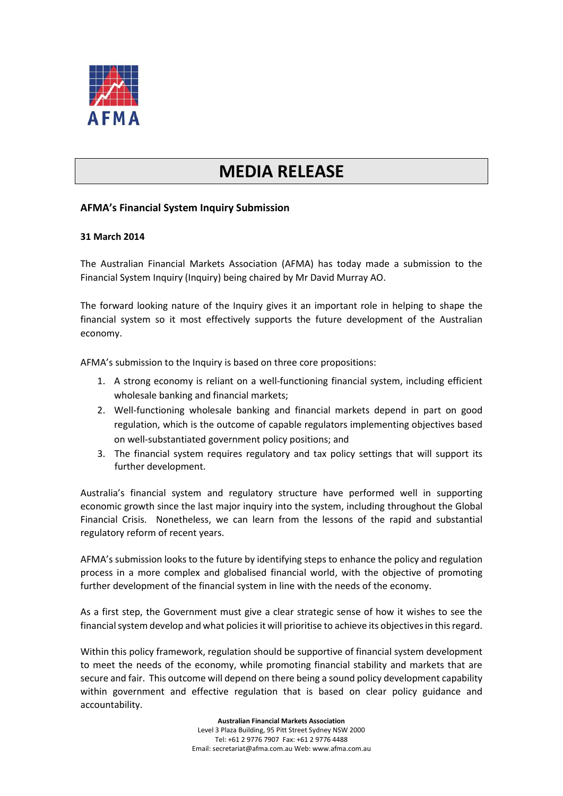

## **MEDIA RELEASE**

## **AFMA's Financial System Inquiry Submission**

## **31 March 2014**

The Australian Financial Markets Association (AFMA) has today made a submission to the Financial System Inquiry (Inquiry) being chaired by Mr David Murray AO.

The forward looking nature of the Inquiry gives it an important role in helping to shape the financial system so it most effectively supports the future development of the Australian economy.

AFMA's submission to the Inquiry is based on three core propositions:

- 1. A strong economy is reliant on a well-functioning financial system, including efficient wholesale banking and financial markets;
- 2. Well-functioning wholesale banking and financial markets depend in part on good regulation, which is the outcome of capable regulators implementing objectives based on well-substantiated government policy positions; and
- 3. The financial system requires regulatory and tax policy settings that will support its further development.

Australia's financial system and regulatory structure have performed well in supporting economic growth since the last major inquiry into the system, including throughout the Global Financial Crisis. Nonetheless, we can learn from the lessons of the rapid and substantial regulatory reform of recent years.

AFMA's submission looks to the future by identifying steps to enhance the policy and regulation process in a more complex and globalised financial world, with the objective of promoting further development of the financial system in line with the needs of the economy.

As a first step, the Government must give a clear strategic sense of how it wishes to see the financial system develop and what policies it will prioritise to achieve its objectives in this regard.

Within this policy framework, regulation should be supportive of financial system development to meet the needs of the economy, while promoting financial stability and markets that are secure and fair. This outcome will depend on there being a sound policy development capability within government and effective regulation that is based on clear policy guidance and accountability.